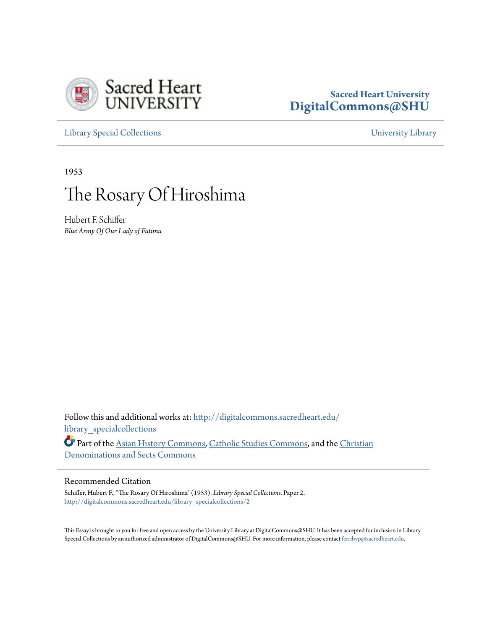

# **Sacred Heart University [DigitalCommons@SHU](http://digitalcommons.sacredheart.edu?utm_source=digitalcommons.sacredheart.edu%2Flibrary_specialcollections%2F2&utm_medium=PDF&utm_campaign=PDFCoverPages)**

[Library Special Collections](http://digitalcommons.sacredheart.edu/library_specialcollections?utm_source=digitalcommons.sacredheart.edu%2Flibrary_specialcollections%2F2&utm_medium=PDF&utm_campaign=PDFCoverPages) **Exercise 2018** [University Library](http://digitalcommons.sacredheart.edu/library?utm_source=digitalcommons.sacredheart.edu%2Flibrary_specialcollections%2F2&utm_medium=PDF&utm_campaign=PDFCoverPages)

1953

# The Rosary Of Hiroshima

Hubert F. Schiffer *Blue Army Of Our Lady of Fatima*

Follow this and additional works at: [http://digitalcommons.sacredheart.edu/](http://digitalcommons.sacredheart.edu/library_specialcollections?utm_source=digitalcommons.sacredheart.edu%2Flibrary_specialcollections%2F2&utm_medium=PDF&utm_campaign=PDFCoverPages) [library\\_specialcollections](http://digitalcommons.sacredheart.edu/library_specialcollections?utm_source=digitalcommons.sacredheart.edu%2Flibrary_specialcollections%2F2&utm_medium=PDF&utm_campaign=PDFCoverPages)

Part of the [Asian History Commons](http://network.bepress.com/hgg/discipline/491?utm_source=digitalcommons.sacredheart.edu%2Flibrary_specialcollections%2F2&utm_medium=PDF&utm_campaign=PDFCoverPages), [Catholic Studies Commons,](http://network.bepress.com/hgg/discipline/1294?utm_source=digitalcommons.sacredheart.edu%2Flibrary_specialcollections%2F2&utm_medium=PDF&utm_campaign=PDFCoverPages) and the [Christian](http://network.bepress.com/hgg/discipline/1184?utm_source=digitalcommons.sacredheart.edu%2Flibrary_specialcollections%2F2&utm_medium=PDF&utm_campaign=PDFCoverPages) [Denominations and Sects Commons](http://network.bepress.com/hgg/discipline/1184?utm_source=digitalcommons.sacredheart.edu%2Flibrary_specialcollections%2F2&utm_medium=PDF&utm_campaign=PDFCoverPages)

#### Recommended Citation

Schiffer, Hubert F., "The Rosary Of Hiroshima" (1953). *Library Special Collections.* Paper 2. [http://digitalcommons.sacredheart.edu/library\\_specialcollections/2](http://digitalcommons.sacredheart.edu/library_specialcollections/2?utm_source=digitalcommons.sacredheart.edu%2Flibrary_specialcollections%2F2&utm_medium=PDF&utm_campaign=PDFCoverPages)

This Essay is brought to you for free and open access by the University Library at DigitalCommons@SHU. It has been accepted for inclusion in Library Special Collections by an authorized administrator of DigitalCommons@SHU. For more information, please contact [ferribyp@sacredheart.edu.](mailto:ferribyp@sacredheart.edu)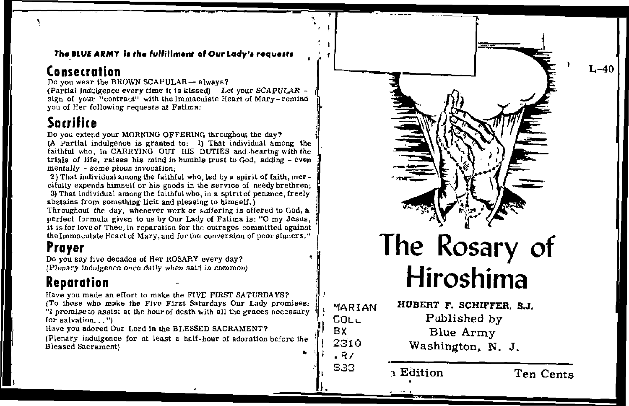The BLUE ARMY is the fulfillment of Our Lady's requests

# **Consecration**

Do you wear the BROWN SCAPULAR— always?

(Partial indulgence every time it is kissed) Let your SCAPULAR sign of your "contract" with the Immaculate Heart of Mary-remind you of Her following requests at Fatima:

# **Sacrifice**

Do you extend your MORNING OFFERING throughout the day?

(A Partial indulgence is granted to: 1) That individual among the faithful who, in CARRYING OUT HIS DUTIES and bearing with the trials of life, raises his mind in humble trust to God, adding - even mentally - some pious invocation;

2) That individual among the faithful who, led by a spirit of faith, mercifully expends himself or his goods in the service of needy brethren; 3) That individual among the faithful who, in a spirit of penance, freely abstains from something licit and pleasing to himself.)

Throughout the day, whenever work or suffering is offered to God, a perfect formula given to us by Our Lady of Fatima is: "O my Jesus, it is for love of Thee, in reparation for the outrages committed against thelmmaculate Heart of Mary, and for the conversion of poor sinners. "

# **Prayer**

Do you say five decades of Her ROSARY every day? (Plenary indulgence once daily when said in common)

# **Reparation**

Have you made an effort to make the FIVE FIRST SATURDAYS? (To those who make the Five First Saturdays Our Lady promises; *"I* promise to assist at the hour of death with all the graces necessary for salvation... ")

Have you adored Our Lord in the BLESSED SACRAMENT?

(Plenary indulgence for at least a half-hour of adoration before the Blessed Sacrament)



**MARIAN ; caLL**  ' BX 2310<br>.R/

S 33

\.

**HUBERT P. SCHIFFER. S.J.**  Published by-Blue Army Washington, N. J.

i Edition Ten Cents

 $L - 40$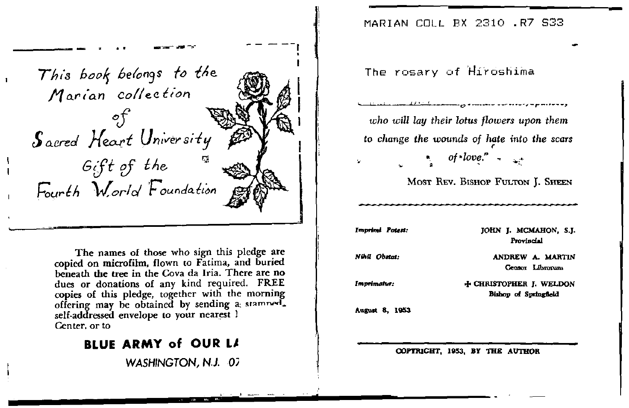This book belongs to the Marian collection *Saered Heart University Gift of ihi*<sup>g</sup> *Fourth World Foundation* 

The names of those who sign this pledge are copied on microfilm, flown to Fatima, and buried beneath the tree in the Cova da Iria. There are no dues or donations of any kind required. FREE copies of this pledge, together with the morning offering may be obtained by sending a stamped. self-addressed envelope to your nearest *\*  Center, or to

## BLUE ARMY of OUR U

WASHINGTON, N.J. 07

MARIAN COLL BX 2310 .R7 S33

### The rosary of Hiroshima

*who will lay their lotus flowers upon them to change the wounds of hate into the scars \* of "love."* •• MOST REV. BISHOP FULTON J. SHEEN

<del>i di saan mu</del>agi emmene var mearympi<del>nesse</del>n y

*Imprimi Potest:* 

*Nihtt Obttat:* 

**JOHN J. MCMAHON, S.J. Provincial** 

> **ANDREW A. MARTIN Censor Libroruni**

*Imprimatur:* 

**\* CHRISTOPHER J. WELDON Biibo? of Springfield** 

**August 8, 1953** 

**COPYRIGHT, 1953, Br THE AUTHOR**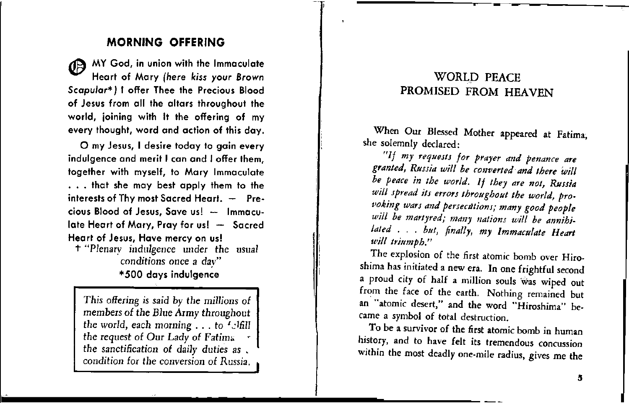#### **MORNING OFFERING**

MY God, in union with the Immaculate Heart of Mary (here kiss your Brown Scapular\*} I offer Thee the Precious Blood of Jesus from all the altars throughout the world, joining with It the offering of my every thought, word and action of this day.

O my Jesus, I desire today to gain every indulgence and merit I can and I offer them, together with myself, to Mary Immaculate . . . that she may best apply them to the interests of Thy most Sacred Heart. — Precious Blood of Jesus, Save us! — Immaculate Heart of Mary, Pray for us! — Sacred Heart of Jesus, Have mercy on us! t "Plenary indulgence under the usual conditions once a day" \*500 days indulgence

This offering *is said by the millions of*  members *of the Blue Army* throughout the world, each morning . . . to <sup>1</sup>Jfill the request of Our Lady of Fatima *the sanctification of daily duties* as . condition for *the* conversion *of* Russia.

## **WORLD PEACE PROMISED FROM HEAVEN**

When Our Blessed Mother appeared at Fatima, she solemnly declared:

*"If my requests for prayer and penance are granted, Russia will be converted and there will be peace in the world. If they are not, Russia will spread its errors throughout the world, provoking wars and persecutions; many good people will be martyred; many nations will be annihilated . . . but, finally, my Immaculate Heart will triumph."* 

The explosion of the first atomic bomb over Hiroshima has initiated a new era. In one frightful second a proud city of half a million souls "was wiped out from the face of the earth. Nothing remained but an "atomic desert," and the word "Hiroshima" became a symbol of total destruction.

To be a survivor of the first atomic bomb in human history, and to have felt its tremendous concussion within the most deadly one-mile radius, gives me the

5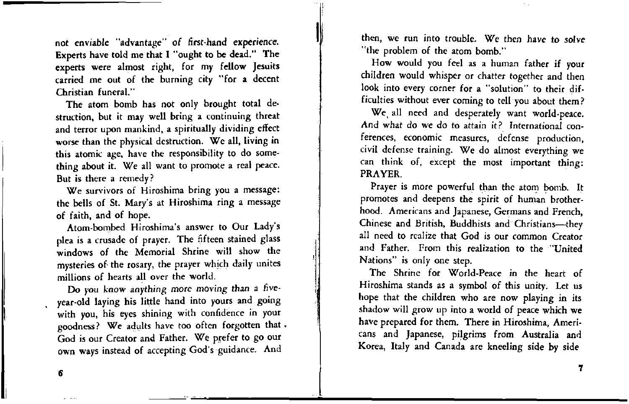not enviable "advantage" of first-hand experience. Experts have told me that I "ought to be dead." The experts were almost right, for my fellow Jesuits carried me out of the burning city "for a decent Christian funeral."

The atom bomb has not only brought total destruction, but it may well bring a continuing threat and terror upon mankind, a spiritually dividing effect worse than the physical destruction. We all, living in this atomic age, have the responsibility to do something about it. We all want to promote a real peace. But is there a remedy?

We survivors of Hiroshima bring you a message: the bells of St. Mary's at Hiroshima ring a message of faith, and of hope.

Atom-bombed Hiroshima's answer to Our Lady's plea is a crusade of prayer. The fifteen stained glass windows of the Memorial Shrine will show the mysteries of the rosary, the prayer which daily unites millions of hearts all over the world.

Do you know anything more moving than a fiveyear-old laying his little hand into yours and going with you, his eyes shining with confidence in your goodness? We adults have too often forgotten that God is our Creator and Father. We prefer to go our own ways instead of accepting God's guidance. And

**li** then, we run into trouble. We then have to solve "the problem of the atom bomb."

How would you feel as a human father if your children would whisper or chatter together and then look into every corner for a "solution" to their difficulties without ever coming to tell you about them?

We all need and desperately want world-peace. And what do we do to attain it? International conferences, economic measures, defense production, civil defense training. We do almost everything we can think of, except the most important thing: PRAYER.

Prayer is more powerful than the atom bomb. It promotes and deepens the spirit of human brotherhood. Americans and Japanese, Germans and French, Chinese and British, Buddhists and Christians—they all need to realize that God is our common Creator and Father. From this realization to the "United Nations" is only one step.

The Shrine for World-Peace in the heart of Hiroshima stands as a symbol of this unity. Let us hope that the children who are now playing in its shadow will grow up into a world of peace which we have prepared for them. There in Hiroshima, Americans and Japanese, pilgrims from Australia and Korea, Italy and Canada are kneeling side by side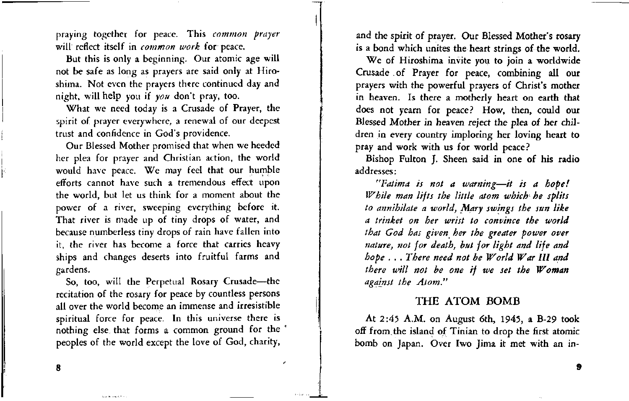praying together for peace. This *common prayer*  will reflect itself in *common work* tor peace.

But this is only a beginning. Our atomic age will not be safe as long as prayers are said only at Hiroshima. Not even the prayers there continued day and night, will help you if you don't pray, too.

What we need today is a Crusade of Prayer, the spirit of prayer everywhere, a renewal of our deepest trust and confidence in God's providence.

Our Blessed Mother promised that when we heeded her plea for prayer and Christian action, the world would have peace. We may feel that our humble efforts cannot have such a tremendous effect upon the world, but let us think for a moment about the power of a river, sweeping everything before it. That river is made up of tiny drops of water, and because numberless tiny drops of rain have fallen into it, the river has become a force that carries heavy ships and changes deserts into fruitful farms and gardens.

So, too, will the Perpetual Rosary Crusade—the recitation of the rosary for peace by countless persons all over the world become an immense and irresistible spiritual force for peace. In this universe there is nothing else that forms a common ground for the peoples of the world except the love of God, charity,

and the spirit of prayer. Our Blessed Mother's rosary is a bond which unites the heart strings of the world.

We of Hiroshima invite you to join a worldwide Crusade of Prayer for peace, combining all our prayers with the powerful prayers of Christ's mother in heaven. Is there a motherly heart on earth that does not yearn for peace? How, then, could our Blessed Mother in heaven reject the plea of her children in every country imploring her loving heart to pray and work with us for world peace?

Bishop Fulton J. Sheen said in one of his radio addresses:

*"Fatima is not a warning*—// *is a hope! While man lifts the little atom which' he splits to annihilate a world, Mary swings the sun like a trinket on her wrist to convince the world that God has given her the greater power over nature, not for death, but for light and life and hope . . . There need not be World War III and there will not be one if we set the Woman against the Atom."* 

#### THE ATOM BOMB

At 2:45 A.M. on August 6th, 1945, a B-29 took off from.the island of Tinian to drop the first atomic bomb on Japan. Over Iwo Jima it met with an in-

8

the Secretary Co.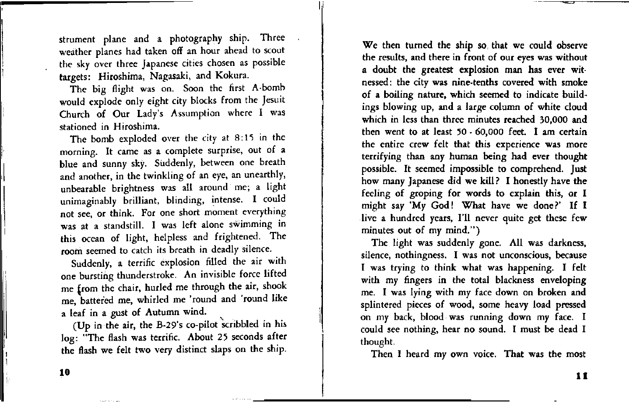strument plane and a photography ship. Three weather planes had taken off an hour ahead to scout the sky over three Japanese cities chosen as possible targets: Hiroshima, Nagasaki, and Kokura.

The big flight was on. Soon the first A-bomb would explode only eight city blocks from the Jesuit Church of Our Lady's Assumption where I was stationed in Hiroshima.

The bomb exploded over the city at 8:15 in the morning. It came as a complete surprise, out of a blue and sunny sky. Suddenly, between one breath and another, in the twinkling of an eye, an unearthly, unbearable brightness was all around me; a light unimaginably brilliant, blinding, intense. I could not see, or think. For one short moment everything was at a standstill. I was left alone swimming in this ocean of light, helpless and frightened. The room seemed to catch its breath in deadly silence.

Suddenly, a terrific explosion filled the air with one bursting thunderstroke. An invisible force lifted me from the chair, hurled me through the air, shook me, battered me, whirled me 'round and 'round like a leaf in a gust of Autumn wind.

(Up in the air, the B-29's co-pilot scribbled in his log: "The flash was terrific. About 25 seconds after the flash we felt two very distinct slaps on the ship.

We then turned the ship so that we could observe the results, and there in front of our eyes was without a doubt the greatest explosion man has ever witnessed: the city was nine-tenths covered with smoke of a boiling nature, which seemed to indicate buildings blowing up, and a large column of white cloud which in less than three minutes reached 30,000 and then went to at least 50 - 60,000 feet. I am certain the entire crew felt that this experience was more terrifying than any human being had ever thought possible. It seemed impossible to comprehend. Just how many Japanese did we kill? I honestly have the feeling of groping for words to explain this, or I might say 'My God! What have we done?' If I live a hundred years, I'll never quite get these few minutes out of my mind.")

The light was suddenly gone. All was darkness, silence, nothingness. I was not unconscious, because I was trying to think what was happening. I felt with my fingers in the total blackness enveloping me. I was lying with my face down on broken and splintered pieces of wood, some heavy load pressed on my back, blood was running down my face. I could see nothing, hear no sound. I must be dead I thought.

Then I heard my own voice. That was the most

and a state of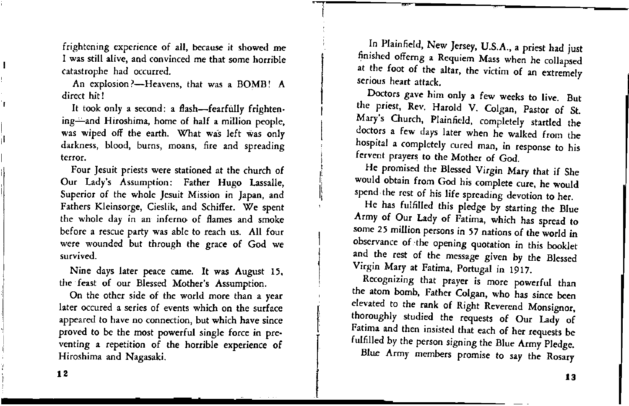frightening experience of all, because it showed me I was still alive, and convinced me that some horrible Catastrophe had occurred.

An explosion?—Heavens, that was a BOMB! A direct hit!

It took only a second: a flash—fearfully frightening—and Hiroshima, home of half a million people, was wiped off the earth. What was left was only darkness, blood, burns, moans, fire and spreading terror.

Four Jesuit priests were stationed at the church of Our Lady's Assumption: Father Hugo Lassalle, Superior of the whole Jesuit Mission in Japan, and Fathers Kleinsorge, Cieslik, and Schiffer. We spent the whole day in an inferno of flames and smoke before a rescue party was able to reach us. All four were wounded but through the grace of God we survived.

Nine days later peace came. It was August 15, the feast of our Blessed Mother's Assumption.

On the other side of the world more than a year later occured a series of events which on the surface appeared to have no connection, but which have since proved to be the most powerful single force in preventing a repetition of the horrible experience of Hiroshima and Nagasaki.

In Plainfield, New Jersey, U.S.A., a priest had just finished offerng a Requiem Mass when he collapsed at the foot of the altar, the victim of an extremely serious heart attack.

Doctors gave him only a few weeks to live. But the priest, Rev. Harold V. Colgan, Pastor of St. Mary's Church, Plainfield, completely startled the doctors a few days later when he walked from the hospital a completely cured man, in response to his fervent prayers to the Mother of God.

He promised the Blessed Virgin Mary that if She would obtain from God his complete cure, he would spend the rest of his life spreading devotion to her.

He has fulfilled this pledge by starting the Blue Army of Our Lady of Fatima, which has spread to some 25 million persons in 57 nations of the world in observance of-the opening quotation in this booklet and the rest of the message given by the Blessed Virgin Mary at Fatima, Portugal in 1917.

Recognizing that prayer is more powerful than the atom bomb, Father Colgan, who has since been elevated to the rank of Right Reverend Monsignor, thoroughly studied the requests of Our Lady of Fatima and then insisted that each of her requests be fulfilled by the person signing the Blue Army Pledge. Blue Army members promise to say the Rosary

'n.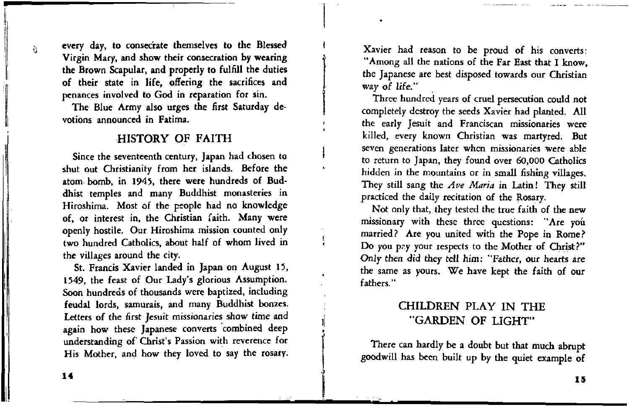every day, to consecrate themselves to the Blessed Virgin Mary, and show their consecration by wearing the Brown Scapular, and properly to fulfill the duties of their state in life, offering the sacrifices and penances involved to God in reparation for sin.

The Blue Army also urges the first Saturday devotions announced in Fatima.

#### HISTORY OF FAITH

Since the seventeenth century, Japan had chosen to shut out Christianity from her islands. Before the atom bomb, in 1945, there were hundreds of Buddhist temples and many Buddhist monasteries in Hiroshima. Most of the people had no knowledge of, or interest in, the Christian faith. Many were openly hostile. Our Hiroshima mission counted only two hundred Catholics, about half of whom lived in the villages around the city.

St. Francis Xavier landed in Japan on August 15, 1549, the feast of Our Lady's glorious Assumption. Soon hundreds of thousands were baptized, including feudal lords, samurais, and many Buddhist bonzes. Letters of the first Jesuit missionaries show time and again how these Japanese converts combined deep understanding of Christ's Passion with reverence for His Mother, and how they loved to say the rosary.

Xavier had reason to be proud of his converts: "Among all the nations of the Far East that I know, the Japanese are best disposed towards our Christian way of life."

Three hundred years of cruel persecution could not completely destroy the seeds Xavier had planted. All the early Jesuit and Franciscan missionaries were killed, every known Christian was martyred. But seven generations later when missionaries were able to return to Japan, they found over 60,000 Catholics hidden in the mountains or in small fishing villages. They still sang the *Ave Maria* in Latin! They still practiced the daily recitation of the Rosary.

Not only that, they tested the true faith of the new missionary with these three questions: "Are you married? Are you united with the Pope in Rome? Do you pay your respects to the Mother of Christ?" Only then did they tell him: "Father, our hearts are the same as yours. We have kept the faith of our fathers."

## CHILDREN PLAY IN THE "GARDEN OF LIGHT"

There can hardly be a doubt but that much abrupt goodwill has been built up by the quiet example of

à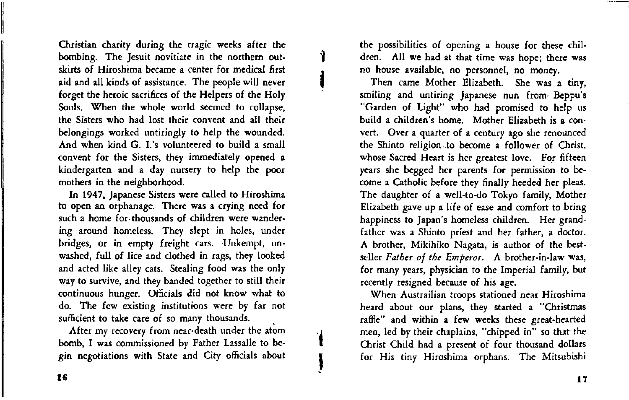Christian charity during the tragic weeks after the bombing. The Jesuit novitiate in the northern outskirts of Hiroshima became a center for medical first aid and all kinds of assistance. The people will never forget the heroic sacrifices of the Helpers of the Holy Souls. When the whole world seemed to collapse, the Sisters who had lost their convent and all their belongings worked untiringly to help the wounded. And when kind G. I.'s volunteered to build a small convent for the Sisters, they immediately opened a kindergarten and a day nursery to help the poor mothers in the neighborhood.

In 1947, Japanese Sisters were called to Hiroshima to open an orphanage. There was a crying need for such a home for thousands of children were wandering around homeless. They slept in holes, under bridges, or in empty freight cars. Unkempt, unwashed, full of lice and clothed in rags, they looked and acted like alley cats. Stealing food was the only way to survive, and they banded together to still their continuous hunger. Officials did not know what to do. The few existing institutions were by far not sufficient to take care of so many thousands.

After my recovery from near-death under the atom bomb, I was commissioned by Father Lassalle to begin negotiations with State and City officials about the possibilities of opening a house for these children. All we had at that time was hope; there was no house available, no personnel, no money.

Ŷ

Then came Mother Elizabeth. She was a tiny, smiling and untiring Japanese nun from Beppu's "Garden of Light" who had promised to help us build a children's home. Mother Elizabeth is a convert. Over a quarter of a century ago she renounced the Shinto religion to become a follower of Christ, whose Sacred Heart is her greatest love. For fifteen years she begged her parents for permission to become a Catholic before they finally heeded her pleas. The daughter of a well-to-do Tokyo family, Mother Elizabeth gave up a life of ease and comfort to bring happiness to Japan's homeless children. Her grandfather was a Shinto priest and her father, a doctor. A brother, Mikihiko Nagata, is author of the bestseller *Father of the Emperor.* A brother-in-law was, for many years, physician to the Imperial family, but recently resigned because of his age.

When Australian troops stationed near Hiroshima heard about our plans, they started a "Christmas raffle" and within a few weeks these great-hearted men, led by their chaplains, "chipped in" so that the Christ Child had a present of four thousand dollars for His tiny Hiroshima orphans. The Mitsubishi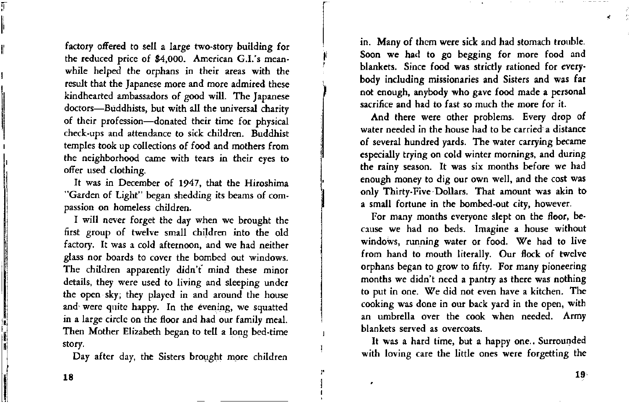factory offered to sell a large two-story building for the reduced price of \$4,000. American G.I.'s meanwhile helped the orphans in their areas with the result that the Japanese more and more admired these kindhearted ambassadors of good will. The Japanese doctors—Buddhists, but with all the universal charity of their profession—donated their time for physical check-ups and attendance to sick children. Buddhist temples took up collections of food and mothers from the neighborhood came with tears in their eyes to offer used clothing.

It was in December of 1947, that the Hiroshima "Garden of Light" began shedding its beams of compassion on homeless children.

I will never forget the day when we brought the first group of twelve small children into the old factory. It was a cold afternoon, and we had neither glass nor boards to cover the bombed out windows. The children apparently didn't mind these minor details, they were used to living and sleeping under the open sky; they played in and around the house and were quite happy. In the evening, we squatted in a large circle on the floor and had our family meal. Then Mother Elizabeth began to tell a long bed-time story.

Day after day, the Sisters brought more children

in. Many of them were sick and had stomach trouble. Soon we had to go begging for more food and blankets. Since food was strictly rationed for everybody including missionaries and Sisters and was far not enough, anybody who gave food made a personal sacrifice and had to fast so much the more for it.

And there were other problems. Every drop of water needed in the house had to be carried a distance of several hundred yards. The water carrying became especially trying on cold winter mornings, and during the rainy season. It was six months before we had enough money to dig our own well, and the cost was only Thirty-Five Dollars. That amount was akin to a small fortune in the bombed-out city, however.

For many months everyone slept on the floor, because we had no beds. Imagine a house without windows, running water or food. We had to live from hand to mouth literally. Our flock of twelve orphans began to grow to fifty. For many pioneering months we didn't need a pantry as there was nothing to put in one. We did not even have a kitchen. The cooking was done in our back yard in the open, with an umbrella over the cook when needed. Army blankets served as overcoats.

It was a hard time, but a happy one.. Surrounded with loving care the little ones were forgetting the

18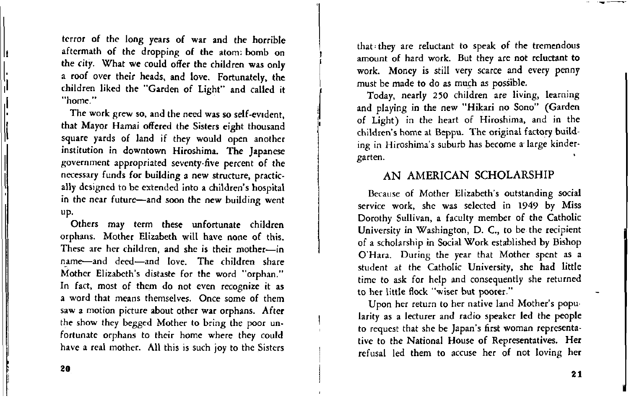terror of the long years of war and the horrible aftermath of the dropping of the atom: bomb on the city. What we could offer the children was only a roof over their heads, and love. Fortunately, the children liked the "Garden of Light" and called it "home."

The work grew so, and the need was so self-evident, that Mayor Hamai offered the Sisters eight thousand square yards of land if they would open another institution in downtown Hiroshima. The Japanese government appropriated seventy-five percent of the necessary funds for building a new structure, practically designed to be extended into a children's hospital in the near future—and soon the new building went up.

Others may term these unfortunate children orphans. Mother Elizabeth will have none of this. These are her children, and she is their mother—in name—and deed—and love. The children share Mother Elizabeth's distaste for the word "orphan." In fact, most of them do not even recognize it as a word that means themselves. Once some of them saw a motion picture about other war orphans. After the show they begged Mother to bring the poor unfortunate orphans to their home where they could have a real mother. All this is such joy to the Sisters

that: they are reluctant to speak of the tremendous amount of hard work. But they are not reluctant to work. Money is still very scarce and every penny must be made to do as much as possible.

Today, nearly 250 children are living, learning and playing in the new "Hikari no Sono" (Garden of Light) in the heart of Hiroshima, and in the children's home at Beppu. The original factory building in Hiroshima's suburb has become a large kindergarten. \*

#### AN AMERICAN SCHOLARSHIP

Because of Mother Elizabeth's outstanding social service work, she was selected in 1949 by Miss Dorothy Sullivan, a faculty member of the Catholic University in Washington, D. C, to be the recipient of a scholarship in Social Work established by Bishop O'Hara. During the year that Mother spent as a student at the Catholic University, she had little time to ask for help and consequently she returned to her little flock "wiser but poorer."

Upon her return to her native land Mother's popu larity as a lecturer and radio speaker led the people to request that she be Japan's first woman representative to the National House of Representatives. Her refusal led them to accuse her of not loving her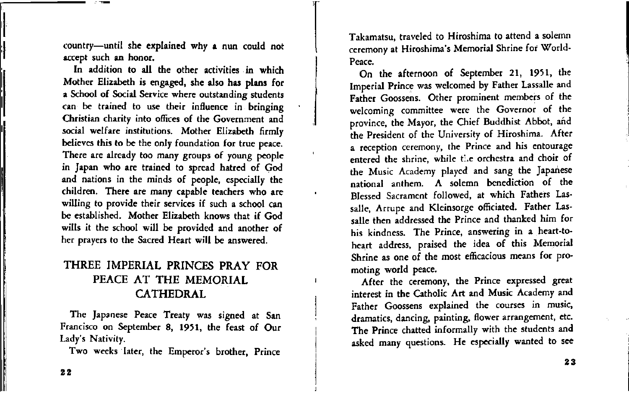country—until she explained why a nun could not accept such an honor.

In addition to all the other activities in which Mother Elizabeth is engaged, she also has plans for a School of Social Service where outstanding students can be trained to use their influence in bringing Christian charity into offices of the Government and social welfare institutions. Mother Elizabeth firmly believes this to be the only foundation for true peace. There are already too many groups of young people in Japan who are trained to spread hatred of God and nations in the minds of people, especially the children. There are many capable teachers who are willing to provide their services if such a school can be established. Mother Elizabeth knows that if God wills it the school will be provided and another of her prayers to the Sacred Heart will be answered.

### THREE IMPERIAL PRINCES PRAY FOR PEACE AT THE MEMORIAL CATHEDRAL

The Japanese Peace Treaty was signed at San Francisco on September 8, 1951, the feast of Our Lady's Nativity.

Two weeks later, the Emperor's brother, Prince

Takamatsu, traveled to Hiroshima to attend a solemn ceremony at Hiroshima's Memorial Shrine for World-Peace.

On the afternoon of September 21, 1951, the Imperial Prince was welcomed by Father Lassalle and Father Goossens. Other prominent members of the welcoming committee were the Governor of the province, the Mayor, the Chief Buddhist Abbot, and the President of the University of Hiroshima. After a reception ceremony, the Prince and his entourage entered the shrine, while t:.e orchestra and choir of the Music Academy played and sang the Japanese national anthem. A solemn benediction of the Blessed Sacrament followed, at which Fathers Lassalle, Arrupe and Kleinsorge officiated. Father Lassalle then addressed the Prince and thanked him for his kindness. The Prince, answering in a heart-toheart address, praised the idea of this Memorial Shrine as one of the most efficacious means for promoting world peace.

After the ceremony, the Prince expressed great interest in the Catholic Art and Music Academy and Father Goossens explained the courses in music, dramatics, dancing, painting, flower arrangement, etc. The Prince chatted informally with the students and asked many questions. He especially wanted to see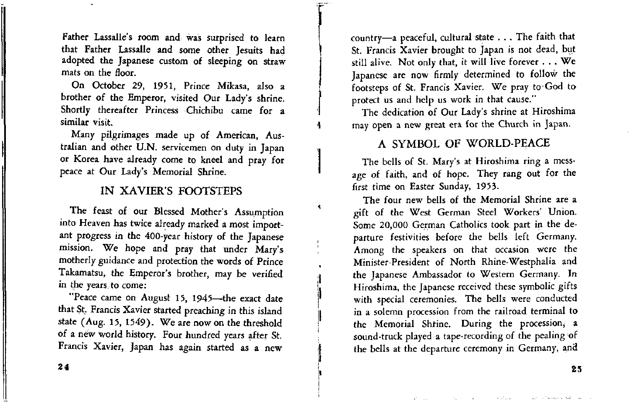Father Lassalle's room and was surprised to learn that Father Lassalle and some other Jesuits had adopted the Japanese custom of sleeping on straw mats on the floor.

On October 29, 1951, Prince Mikasa, also a brother of the Emperor, visited Our Lady's shrine. Shortly thereafter Princess Chichibu came for a similar visit.

Many pilgrimages made up of American, Australian and other U.N. servicemen on duty in Japan or Korea have already come to kneel and pray for peace at Our Lady's Memorial Shrine.

#### IN XAVIER'S FOOTSTEPS

A

The feast of our Blessed Mother's Assumption into Heaven has twice already marked a most important progress in the 400-year history of the Japanese mission. We hope and pray that under Mary's motherly guidance and protection the words of Prince Takamatsu, the Emperor's brother, may be verified in the years to come:

"Peace came on August 15, 1945—the exact date that St. Francis Xavier started preaching in this island state (Aug. 15, 1549). We are now on the threshold of a new world history. Four hundred years after St. Francis Xavier, Japan has again started as a new country—a peaceful, cultural state . . . The faith that St. Francis Xavier brought to Japan is not dead, but still alive. Not only that, it will live forever  $\dots$  We Japanese are now firmly determined to follow the footsteps of St. Francis Xavier. We pray to God to protect us and help us work in that cause."

The dedication of Our Lady's shrine at Hiroshima may open a new great era for the Church in Japan.

## A SYMBOL OF WORLD-PEACE

The bells of St. Mary's at Hiroshima ring a message of faith, and of hope. They rang out for the first time on Easter Sunday, 1953.

The four new bells of the Memorial Shrine are a gift of the West German Steel Workers' Union. Some 20,000 German Catholics took part in the departure festivities before the bells left Germany. Among the speakers on that occasion were the Minister-President of North Rhine-Westphalia and the Japanese Ambassador to Western Germany. In Hiroshima, the Japanese received these symbolic gifts with special ceremonies. The bells were conducted in a solemn procession from the railroad terminal to the Memorial Shrine. During the procession, a sound-truck played a tape-recording of the pealing of the bells at the departure ceremony in Germany, and

**Service** 

 $\mathbf{c}^{\text{in}} = 1$  and

age of the season and com-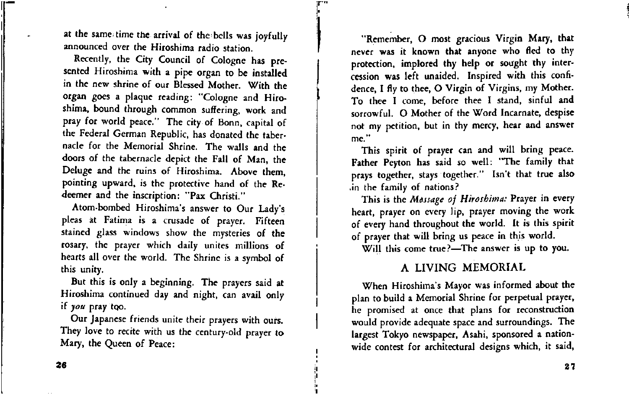at the same time the arrival of the bells was joyfully announced over the Hiroshima radio station.

Recently, the City Council of Cologne has presented Hiroshima with a pipe organ to be installed in the new shrine of our Blessed Mother. With the organ goes a plaque reading: "Cologne and Hiroshima, bound through common suffering, work and pray for world peace." The city of Bonn, capital of the Federal German Republic, has donated the tabernacle for the Memorial Shrine. The walls and the doors of the tabernacle depict the Fall of Man, the Deluge and the ruins of Hiroshima. Above them, pointing upward, is the protective hand of the Redeemer and the inscription: "Pax Christi."

Atom-bombed Hiroshima's answer to Our Lady's pleas at Fatima is a crusade of prayer. Fifteen stained glass windows show the mysteries of the rosary, the prayer which daily unites millions of hearts all over the world. The Shrine is a symbol of this unity.

But this is only a beginning. The prayers said at Hiroshima continued day and night, can avail only if *you* pray too.

Our Japanese friends unite their prayers with ours. They love to recite with us the century-old prayer to Mary, the Queen of Peace:

"Remember, O most gracious Virgin Mary, that never was it known that anyone who fled to thy protection, implored thy help or sought thy intercession was left unaided. Inspired with this confidence, I fly to thee, O Virgin of Virgins, my Mother. To thee I come, before thee I stand, sinful and sorrowful. O Mother of the Word Incarnate, despise not my petition, but in thy mercy, hear and answer me."

This spirit of prayer can and will bring peace. Father Peyton has said so well: "The family that prays together, stays together." Isn't that true also .in the family of nations?

This is the *Massage of Hiroshima:* Prayer in every heart, prayer on every lip, prayer moving the work of every hand throughout the world. It is this spirit of prayer that will bring us peace in this world.

Will this come true?—The answer is up to you.

#### A LIVING MEMORIAL

When Hiroshima's Mayor was informed about the plan to build a Memorial Shrine for perpetual prayer, he promised at once that plans for reconstruction would provide adequate space and surroundings. The largest Tokyo newspaper, Asahi, sponsored a nationwide contest for architectural designs which, it said,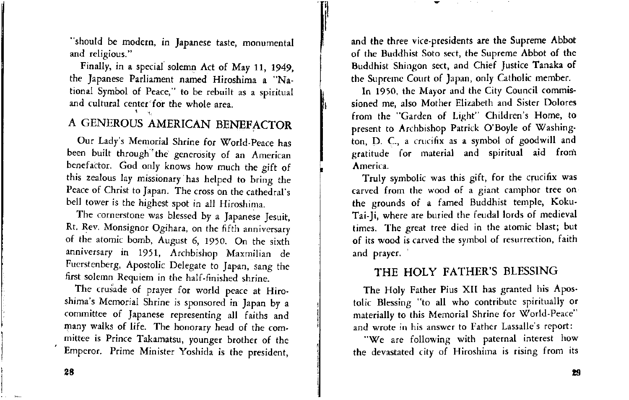"should be modern, in Japanese taste, monumental and religious."

Finally, in a special solemn Act of May 11, 1949, the Japanese Parliament named Hiroshima a "National Symbol of Peace," to be rebuilt as a spiritual and cultural center for the whole area.

# A GENEROUS AMERICAN BENEFACTOR

Our Lady's Memorial Shrine for World-Peace has been built through the generosity of an American benefactor. God only knows how much the gift of this zealous lay missionary has helped to bring the Peace of Christ to Japan. The cross on the cathedral's bell tower is the highest spot in all Hiroshima.

The cornerstone was blessed by a Japanese Jesuit, Rt. Rev. Monsignor Ogihara, on the fifth anniversary of the atomic bomb, August 6, 1950. On the sixth anniversary in 1951, Archbishop Maxmilian de Fucrstenberg, Apostolic Delegate to Japan, sang the first solemn Requiem in the half-finished shrine.

The crusade of prayer for world peace at Hiroshima's Memorial Shrine is sponsored in Japan by a committee of Japanese representing all faiths and many walks of life. The honorary head of the committee is Prince Takamatsu, younger brother of the Emperor. Prime Minister Yoshida is the president, and the three vice-presidents are the Supreme Abbot of the Buddhist Soto sect, the Supreme Abbot of the Buddhist Shingon sect, and Chief Justice Tanaka of the Supreme Court of Japan, only Catholic member.

In 1950, the Mayor and the City Council commissioned me, also Mother Elizabeth and Sister Dolores from the "Garden of Light" Children's Home, to present to Archbishop Patrick O'Boyle of Washington, D. C, a crucifix as a symbol of goodwill and gratitude for material and spiritual aid from America.

Truly symbolic was this gift, for the crucifix was carved from the wood of a giant camphor tree on the grounds of a famed Buddhist temple, Koku-Tai-Ji, where are buried the feudal lords of medieval times. The great tree died in the atomic blast; but of its wood is carved the symbol of resurrection, faith and prayer.

#### THE HOLY FATHER'S BLESSING

The Holy Father Pius XII has granted his Apostolic Blessing "to all who contribute spiritually or materially to this Memorial Shrine for World-Peace" and wrote in his answer to Father Lassalle's report:

"We are following with paternal interest how the devastated city of Hiroshima is rising from its